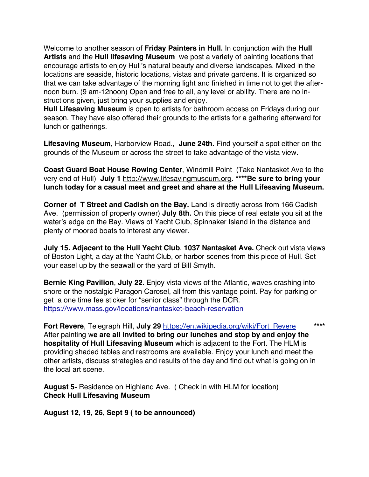Welcome to another season of **Friday Painters in Hull.** In conjunction with the **Hull Artists** and the **Hull lifesaving Museum** we post a variety of painting locations that encourage artists to enjoy Hull's natural beauty and diverse landscapes. Mixed in the locations are seaside, historic locations, vistas and private gardens. It is organized so that we can take advantage of the morning light and finished in time not to get the afternoon burn. (9 am-12noon) Open and free to all, any level or ability. There are no instructions given, just bring your supplies and enjoy.

**Hull Lifesaving Museum** is open to artists for bathroom access on Fridays during our season. They have also offered their grounds to the artists for a gathering afterward for lunch or gatherings.

**Lifesaving Museum**, Harborview Road., **June 24th.** Find yourself a spot either on the grounds of the Museum or across the street to take advantage of the vista view.

**Coast Guard Boat House Rowing Center**, Windmill Point (Take Nantasket Ave to the very end of Hull) **July 1** http://www.lifesavingmuseum.org. **\*\*\*\*Be sure to bring your lunch today for a casual meet and greet and share at the Hull Lifesaving Museum.**

**Corner of T Street and Cadish on the Bay.** Land is directly across from 166 Cadish Ave. (permission of property owner) **July 8th.** On this piece of real estate you sit at the water's edge on the Bay. Views of Yacht Club, Spinnaker Island in the distance and plenty of moored boats to interest any viewer.

**July 15. Adjacent to the Hull Yacht Club**. **1037 Nantasket Ave.** Check out vista views of Boston Light, a day at the Yacht Club, or harbor scenes from this piece of Hull. Set your easel up by the seawall or the yard of Bill Smyth.

**Bernie King Pavilion**, **July 22.** Enjoy vista views of the Atlantic, waves crashing into shore or the nostalgic Paragon Carosel, all from this vantage point. Pay for parking or get a one time fee sticker for "senior class" through the DCR. https://www.mass.gov/locations/nantasket-beach-reservation

**Fort Revere**, Telegraph Hill, **July 29** https://en.wikipedia.org/wiki/Fort\_Revere **\*\*\*\*** After painting w**e are all invited to bring our lunches and stop by and enjoy the hospitality of Hull Lifesaving Museum** which is adjacent to the Fort. The HLM is providing shaded tables and restrooms are available. Enjoy your lunch and meet the other artists, discuss strategies and results of the day and find out what is going on in the local art scene.

**August 5-** Residence on Highland Ave. ( Check in with HLM for location) **Check Hull Lifesaving Museum**

**August 12, 19, 26, Sept 9 ( to be announced)**